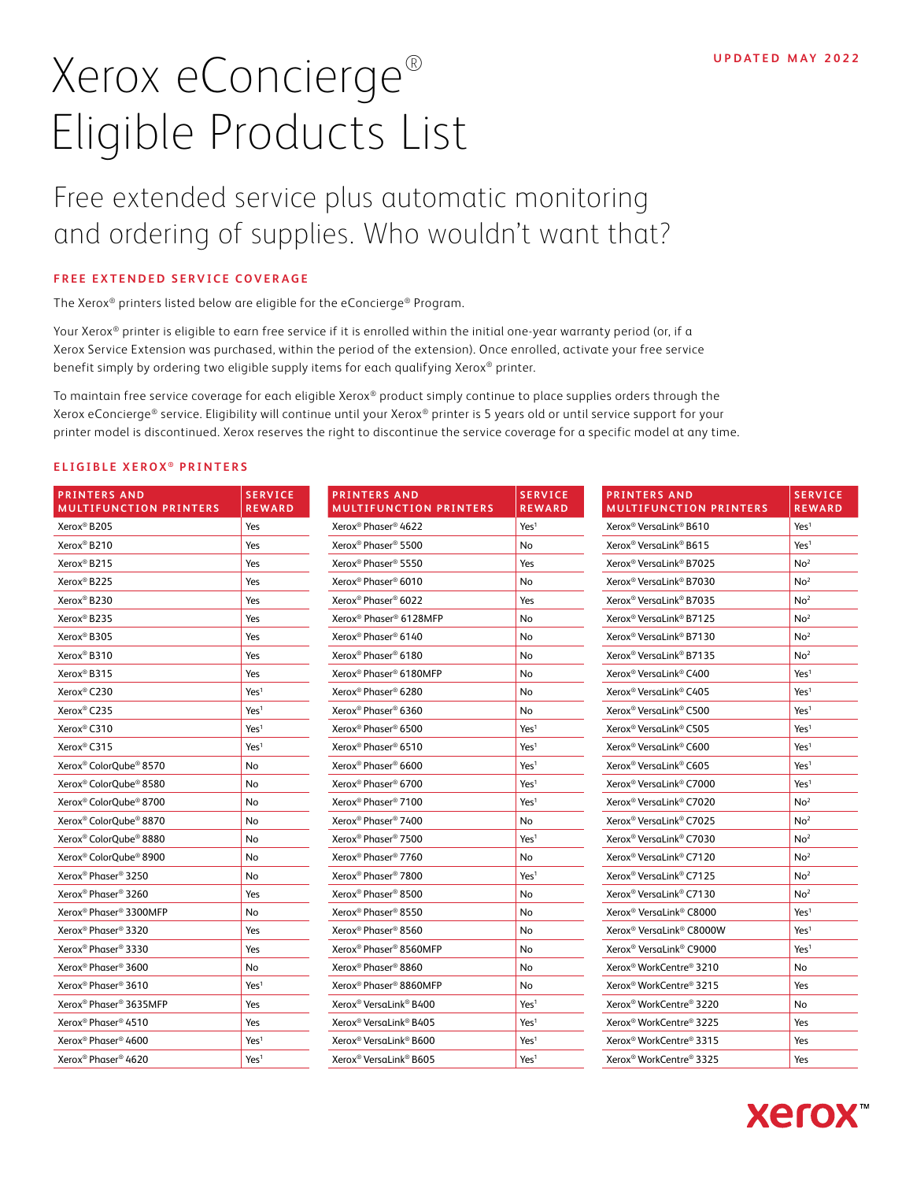# Xerox eConcierge® Eligible Products List

## Free extended service plus automatic monitoring and ordering of supplies. Who wouldn't want that?

#### **FREE EXTENDED SERVICE COVERAGE**

The Xerox® printers listed below are eligible for the eConcierge® Program.

Your Xerox® printer is eligible to earn free service if it is enrolled within the initial one-year warranty period (or, if a Xerox Service Extension was purchased, within the period of the extension). Once enrolled, activate your free service benefit simply by ordering two eligible supply items for each qualifying Xerox® printer.

To maintain free service coverage for each eligible Xerox® product simply continue to place supplies orders through the Xerox eConcierge® service. Eligibility will continue until your Xerox® printer is 5 years old or until service support for your printer model is discontinued. Xerox reserves the right to discontinue the service coverage for a specific model at any time.

### **ELIGIBLE XEROX<sup>®</sup> PRINTERS**

| <b>PRINTERS AND</b><br><b>MULTIFUNCTION PRINTERS</b> | <b>SERVICE</b><br>REWARD | <b>PRINTERS AND</b><br><b>MULTIFUNCTION PRINTERS</b> | <b>SERVICE</b><br><b>REWARD</b> | <b>PRINTERS AND</b><br><b>MULTIFUNCTION PRINTERS</b> | <b>SERVICE</b><br><b>REWARD</b> |
|------------------------------------------------------|--------------------------|------------------------------------------------------|---------------------------------|------------------------------------------------------|---------------------------------|
| Xerox <sup>®</sup> B205                              | Yes                      | Xerox <sup>®</sup> Phaser <sup>®</sup> 4622          | Yes <sup>1</sup>                | Xerox <sup>®</sup> VersaLink <sup>®</sup> B610       | Yes <sup>1</sup>                |
| Xerox <sup>®</sup> B210                              | Yes                      | Xerox <sup>®</sup> Phaser <sup>®</sup> 5500          | No                              | Xerox <sup>®</sup> VersaLink <sup>®</sup> B615       | Yes <sup>1</sup>                |
| Xerox <sup>®</sup> B215                              | Yes                      | Xerox <sup>®</sup> Phaser <sup>®</sup> 5550          | Yes                             | Xerox® VersaLink® B7025                              | No <sup>2</sup>                 |
| Xerox <sup>®</sup> B225                              | Yes                      | Xerox <sup>®</sup> Phaser <sup>®</sup> 6010          | No                              | Xerox <sup>®</sup> VersaLink <sup>®</sup> B7030      | No <sup>2</sup>                 |
| Xerox <sup>®</sup> B230                              | Yes                      | Xerox <sup>®</sup> Phaser® 6022                      | Yes                             | Xerox <sup>®</sup> VersaLink <sup>®</sup> B7035      | No <sup>2</sup>                 |
| Xerox <sup>®</sup> B235                              | Yes                      | Xerox <sup>®</sup> Phaser <sup>®</sup> 6128MFP       | No                              | Xerox <sup>®</sup> VersaLink® B7125                  | No <sup>2</sup>                 |
| Xerox <sup>®</sup> B305                              | Yes                      | Xerox <sup>®</sup> Phaser® 6140                      | No                              | Xerox® VersaLink® B7130                              | No <sup>2</sup>                 |
| Xerox <sup>®</sup> B310                              | Yes                      | Xerox <sup>®</sup> Phaser® 6180                      | No                              | Xerox <sup>®</sup> VersaLink <sup>®</sup> B7135      | No <sup>2</sup>                 |
| Xerox <sup>®</sup> B315                              | Yes                      | Xerox <sup>®</sup> Phaser <sup>®</sup> 6180MFP       | No                              | Xerox <sup>®</sup> VersaLink <sup>®</sup> C400       | Yes <sup>1</sup>                |
| Xerox <sup>®</sup> C230                              | Yes <sup>1</sup>         | Xerox <sup>®</sup> Phaser <sup>®</sup> 6280          | No                              | Xerox <sup>®</sup> VersaLink <sup>®</sup> C405       | Yes <sup>1</sup>                |
| Xerox <sup>®</sup> C235                              | Yes <sup>1</sup>         | Xerox <sup>®</sup> Phaser <sup>®</sup> 6360          | No                              | Xerox® VersaLink® C500                               | Yes <sup>1</sup>                |
| Xerox <sup>®</sup> C310                              | Yes <sup>1</sup>         | Xerox® Phaser® 6500                                  | Yes <sup>1</sup>                | Xerox <sup>®</sup> VersaLink® C505                   | Yes <sup>1</sup>                |
| Xerox <sup>®</sup> C315                              | Yes <sup>1</sup>         | Xerox <sup>®</sup> Phaser <sup>®</sup> 6510          | Yes <sup>1</sup>                | Xerox <sup>®</sup> VersaLink <sup>®</sup> C600       | Yes <sup>1</sup>                |
| Xerox <sup>®</sup> ColorQube® 8570                   | No                       | Xerox <sup>®</sup> Phaser <sup>®</sup> 6600          | Yes <sup>1</sup>                | Xerox <sup>®</sup> VersaLink® C605                   | Yes <sup>1</sup>                |
| Xerox <sup>®</sup> ColorOube <sup>®</sup> 8580       | No                       | Xerox <sup>®</sup> Phaser <sup>®</sup> 6700          | Yes <sup>1</sup>                | Xerox <sup>®</sup> VersaLink <sup>®</sup> C7000      | Yes <sup>1</sup>                |
| Xerox <sup>®</sup> ColorQube® 8700                   | No                       | Xerox <sup>®</sup> Phaser® 7100                      | Yes <sup>1</sup>                | Xerox <sup>®</sup> VersaLink® C7020                  | No <sup>2</sup>                 |
| Xerox <sup>®</sup> ColorOube <sup>®</sup> 8870       | No                       | Xerox <sup>®</sup> Phaser® 7400                      | No                              | Xerox <sup>®</sup> VersaLink® C7025                  | No <sup>2</sup>                 |
| Xerox <sup>®</sup> ColorQube <sup>®</sup> 8880       | No                       | Xerox <sup>®</sup> Phaser® 7500                      | Yes <sup>1</sup>                | Xerox® VersaLink® C7030                              | No <sup>2</sup>                 |
| Xerox <sup>®</sup> ColorOube <sup>®</sup> 8900       | No                       | Xerox <sup>®</sup> Phaser <sup>®</sup> 7760          | No                              | Xerox <sup>®</sup> VersaLink® C7120                  | No <sup>2</sup>                 |
| Xerox <sup>®</sup> Phaser <sup>®</sup> 3250          | No                       | Xerox <sup>®</sup> Phaser <sup>®</sup> 7800          | Yes <sup>1</sup>                | Xerox <sup>®</sup> VersaLink® C7125                  | No <sup>2</sup>                 |
| Xerox <sup>®</sup> Phaser <sup>®</sup> 3260          | Yes                      | Xerox <sup>®</sup> Phaser <sup>®</sup> 8500          | No                              | Xerox <sup>®</sup> VersaLink <sup>®</sup> C7130      | No <sup>2</sup>                 |
| Xerox <sup>®</sup> Phaser® 3300MFP                   | No                       | Xerox <sup>®</sup> Phaser® 8550                      | No                              | Xerox <sup>®</sup> VersaLink <sup>®</sup> C8000      | Yes <sup>1</sup>                |
| Xerox <sup>®</sup> Phaser <sup>®</sup> 3320          | Yes                      | Xerox <sup>®</sup> Phaser® 8560                      | No                              | Xerox <sup>®</sup> VersaLink <sup>®</sup> C8000W     | Yes <sup>1</sup>                |
| Xerox <sup>®</sup> Phaser <sup>®</sup> 3330          | Yes                      | Xerox <sup>®</sup> Phaser® 8560MFP                   | No                              | Xerox <sup>®</sup> VersaLink® C9000                  | Yes <sup>1</sup>                |
| Xerox <sup>®</sup> Phaser <sup>®</sup> 3600          | No                       | Xerox <sup>®</sup> Phaser <sup>®</sup> 8860          | No                              | Xerox <sup>®</sup> WorkCentre® 3210                  | <b>No</b>                       |
| Xerox <sup>®</sup> Phaser <sup>®</sup> 3610          | Yes <sup>1</sup>         | Xerox <sup>®</sup> Phaser® 8860MFP                   | No                              | Xerox <sup>®</sup> WorkCentre® 3215                  | Yes                             |
| Xerox <sup>®</sup> Phaser® 3635MFP                   | Yes                      | Xerox <sup>®</sup> VersaLink <sup>®</sup> B400       | Yes <sup>1</sup>                | Xerox <sup>®</sup> WorkCentre® 3220                  | No                              |
| Xerox <sup>®</sup> Phaser <sup>®</sup> 4510          | Yes                      | Xerox <sup>®</sup> VersaLink <sup>®</sup> B405       | Yes <sup>1</sup>                | Xerox <sup>®</sup> WorkCentre® 3225                  | Yes                             |
| Xerox <sup>®</sup> Phaser <sup>®</sup> 4600          | Yes <sup>1</sup>         | Xerox <sup>®</sup> VersaLink <sup>®</sup> B600       | Yes <sup>1</sup>                | Xerox <sup>®</sup> WorkCentre® 3315                  | Yes                             |
| Xerox <sup>®</sup> Phaser <sup>®</sup> 4620          | Yes <sup>1</sup>         | Xerox <sup>®</sup> VersaLink <sup>®</sup> B605       | Yes <sup>1</sup>                | Xerox <sup>®</sup> WorkCentre® 3325                  | Yes                             |